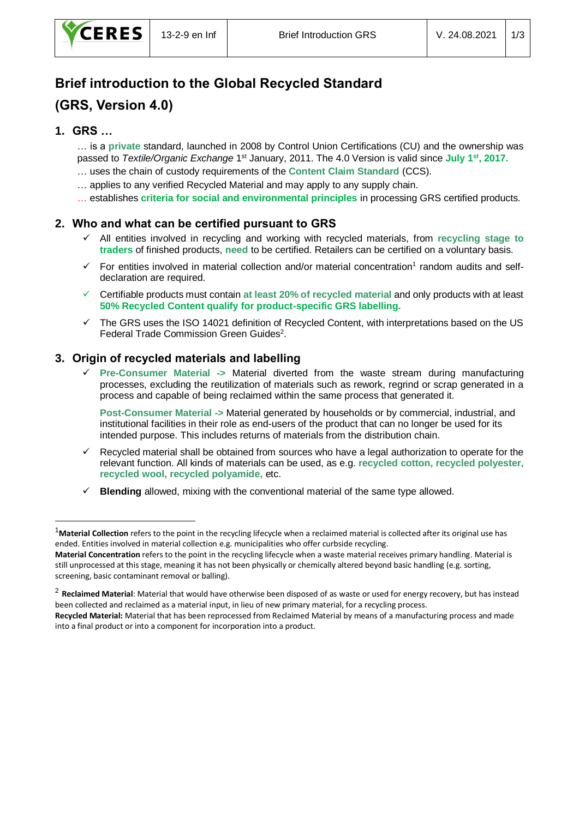# **Brief introduction to the Global Recycled Standard (GRS, Version 4.0)**

# **1. GRS …**

-

… is a **private** standard, launched in 2008 by Control Union Certifications (CU) and the ownership was passed to *Textile/Organic Exchange* 1<sup>st</sup> January, 2011. The 4.0 Version is valid since July 1<sup>st</sup>, 2017.

- … uses the chain of custody requirements of the **Content Claim Standard** (CCS).
- … applies to any verified Recycled Material and may apply to any supply chain.
- … establishes **criteria for social and environmental principles** in processing GRS certified products.

## **2. Who and what can be certified pursuant to GRS**

- ✓ All entities involved in recycling and working with recycled materials, from **recycling stage to traders** of finished products, **need** to be certified. Retailers can be certified on a voluntary basis.
- $\checkmark$  For entities involved in material collection and/or material concentration<sup>1</sup> random audits and selfdeclaration are required.
- ✓ Certifiable products must contain **at least 20% of recycled material** and only products with at least **50% Recycled Content qualify for product-specific GRS labelling.**
- $\checkmark$  The GRS uses the ISO 14021 definition of Recycled Content, with interpretations based on the US Federal Trade Commission Green Guides<sup>2</sup>.

## **3. Origin of recycled materials and labelling**

**Pre-Consumer Material -> Material diverted from the waste stream during manufacturing** processes, excluding the reutilization of materials such as rework, regrind or scrap generated in a process and capable of being reclaimed within the same process that generated it.

**Post-Consumer Material ->** Material generated by households or by commercial, industrial, and institutional facilities in their role as end-users of the product that can no longer be used for its intended purpose. This includes returns of materials from the distribution chain.

- ✓ Recycled material shall be obtained from sources who have a legal authorization to operate for the relevant function. All kinds of materials can be used, as e.g. **recycled cotton, recycled polyester, recycled wool, recycled polyamide,** etc.
- ✓ **Blending** allowed, mixing with the conventional material of the same type allowed.

<sup>1</sup>**Material Collection** refers to the point in the recycling lifecycle when a reclaimed material is collected after its original use has ended. Entities involved in material collection e.g. municipalities who offer curbside recycling.

**Material Concentration** refers to the point in the recycling lifecycle when a waste material receives primary handling. Material is still unprocessed at this stage, meaning it has not been physically or chemically altered beyond basic handling (e.g. sorting, screening, basic contaminant removal or balling).

<sup>2</sup> **Reclaimed Material**: Material that would have otherwise been disposed of as waste or used for energy recovery, but has instead been collected and reclaimed as a material input, in lieu of new primary material, for a recycling process. **Recycled Material:** Material that has been reprocessed from Reclaimed Material by means of a manufacturing process and made

into a final product or into a component for incorporation into a product.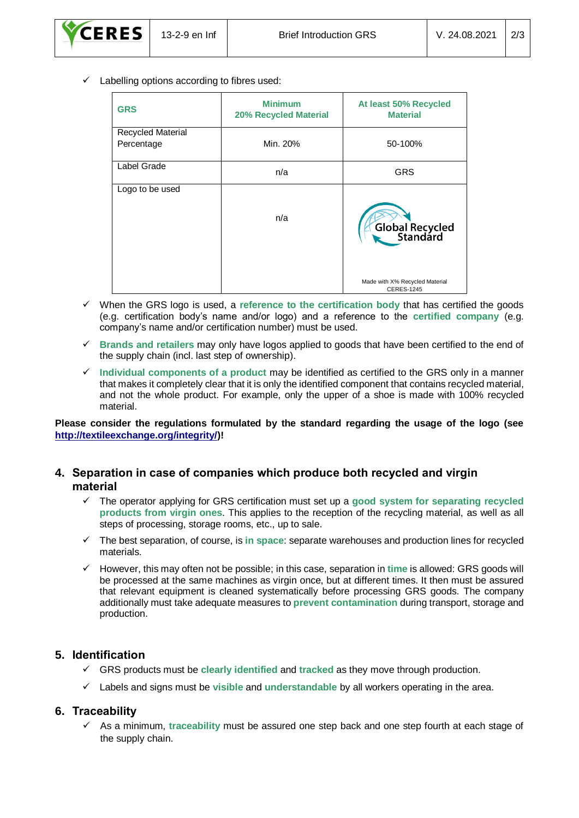$\checkmark$  Labelling options according to fibres used:

| <b>GRS</b>        | <b>Minimum</b><br><b>20% Recycled Material</b> | At least 50% Recycled<br><b>Material</b>            |
|-------------------|------------------------------------------------|-----------------------------------------------------|
| Recycled Material |                                                |                                                     |
| Percentage        | Min. 20%                                       | 50-100%                                             |
| Label Grade       | n/a                                            | <b>GRS</b>                                          |
| Logo to be used   | n/a                                            | Global Recycled                                     |
|                   |                                                | Made with X% Recycled Material<br><b>CERES-1245</b> |

- ✓ When the GRS logo is used, a **reference to the certification body** that has certified the goods (e.g. certification body's name and/or logo) and a reference to the **certified company** (e.g. company's name and/or certification number) must be used.
- ✓ **Brands and retailers** may only have logos applied to goods that have been certified to the end of the supply chain (incl. last step of ownership).
- ✓ **Individual components of a product** may be identified as certified to the GRS only in a manner that makes it completely clear that it is only the identified component that contains recycled material, and not the whole product. For example, only the upper of a shoe is made with 100% recycled material.

**Please consider the regulations formulated by the standard regarding the usage of the logo (see [http://textileexchange.org/integrity/\)](http://textileexchange.org/integrity/)!**

## **4. Separation in case of companies which produce both recycled and virgin material**

- ✓ The operator applying for GRS certification must set up a **good system for separating recycled products from virgin ones**. This applies to the reception of the recycling material, as well as all steps of processing, storage rooms, etc., up to sale.
- ✓ The best separation, of course, is **in space**: separate warehouses and production lines for recycled materials.
- ✓ However, this may often not be possible; in this case, separation in **time** is allowed: GRS goods will be processed at the same machines as virgin once, but at different times. It then must be assured that relevant equipment is cleaned systematically before processing GRS goods. The company additionally must take adequate measures to **prevent contamination** during transport, storage and production.

## **5. Identification**

- ✓ GRS products must be **clearly identified** and **tracked** as they move through production.
- ✓ Labels and signs must be **visible** and **understandable** by all workers operating in the area.

## **6. Traceability**

✓ As a minimum, **traceability** must be assured one step back and one step fourth at each stage of the supply chain.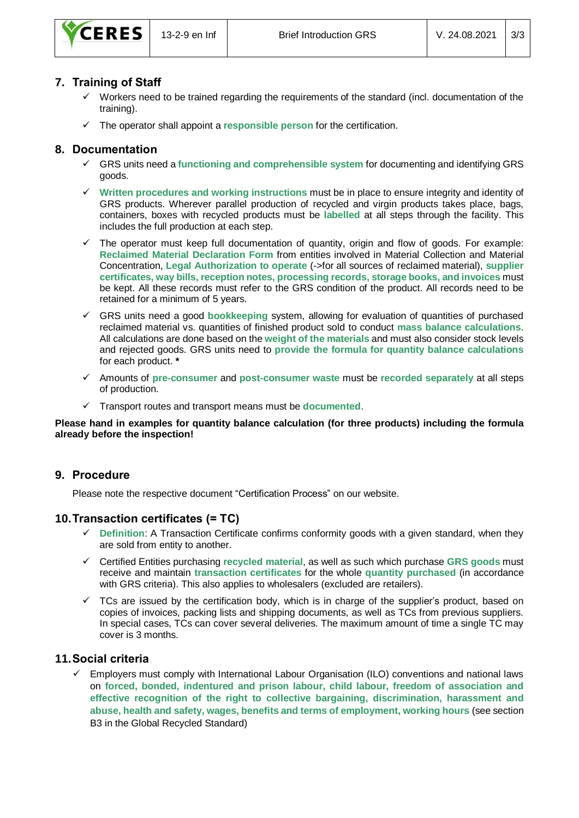

## **7. Training of Staff**

- Workers need to be trained regarding the requirements of the standard (incl. documentation of the training).
- ✓ The operator shall appoint a **responsible person** for the certification.

#### **8. Documentation**

- GRS units need a functioning and comprehensible system for documenting and identifying GRS goods.
- ✓ **Written procedures and working instructions** must be in place to ensure integrity and identity of GRS products. Wherever parallel production of recycled and virgin products takes place, bags, containers, boxes with recycled products must be **labelled** at all steps through the facility. This includes the full production at each step.
- The operator must keep full documentation of quantity, origin and flow of goods. For example: **Reclaimed Material Declaration Form** from entities involved in Material Collection and Material Concentration, **Legal Authorization to operate** (->for all sources of reclaimed material), **supplier certificates, way bills, reception notes, processing records, storage books, and invoices** must be kept. All these records must refer to the GRS condition of the product. All records need to be retained for a minimum of 5 years.
- ✓ GRS units need a good **bookkeeping** system, allowing for evaluation of quantities of purchased reclaimed material vs. quantities of finished product sold to conduct **mass balance calculations**. All calculations are done based on the **weight of the materials** and must also consider stock levels and rejected goods. GRS units need to **provide the formula for quantity balance calculations** for each product. **\***
- ✓ Amounts of **pre-consumer** and **post-consumer waste** must be **recorded separately** at all steps of production.
- ✓ Transport routes and transport means must be **documented**.

#### **Please hand in examples for quantity balance calculation (for three products) including the formula already before the inspection!**

#### **9. Procedure**

Please note the respective document "Certification Process" on our website.

#### **10.Transaction certificates (= TC)**

- **Definition:** A Transaction Certificate confirms conformity goods with a given standard, when they are sold from entity to another.
- ✓ Certified Entities purchasing **recycled material**, as well as such which purchase **GRS goods** must receive and maintain **transaction certificates** for the whole **quantity purchased** (in accordance with GRS criteria). This also applies to wholesalers (excluded are retailers).
- $\checkmark$  TCs are issued by the certification body, which is in charge of the supplier's product, based on copies of invoices, packing lists and shipping documents, as well as TCs from previous suppliers. In special cases, TCs can cover several deliveries. The maximum amount of time a single TC may cover is 3 months.

## **11.Social criteria**

Employers must comply with International Labour Organisation (ILO) conventions and national laws on **forced, bonded, indentured and prison labour, child labour, freedom of association and effective recognition of the right to collective bargaining, discrimination, harassment and abuse, health and safety, wages, benefits and terms of employment, working hours** (see section B3 in the Global Recycled Standard)